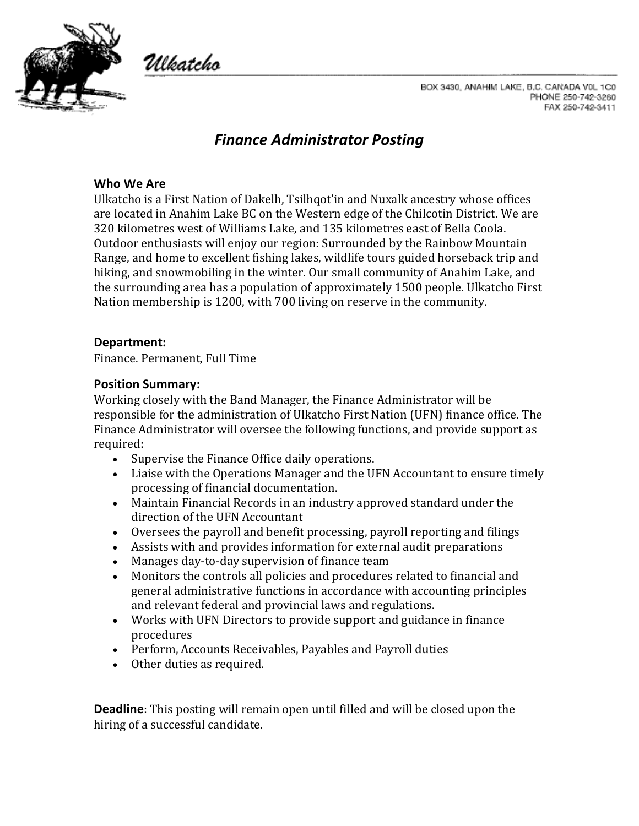

Ulkatcho

BOX 3430, ANAHIM LAKE, B.C. CANADA V0L 1C0 PHONE 250-742-3260 FAX 250-742-3411

# *Finance Administrator Posting*

#### **Who We Are**

Ulkatcho is a First Nation of Dakelh, Tsilhqot'in and Nuxalk ancestry whose offices are located in Anahim Lake BC on the Western edge of the Chilcotin District. We are 320 kilometres west of Williams Lake, and 135 kilometres east of Bella Coola. Outdoor enthusiasts will enjoy our region: Surrounded by the Rainbow Mountain Range, and home to excellent fishing lakes, wildlife tours guided horseback trip and hiking, and snowmobiling in the winter. Our small community of Anahim Lake, and the surrounding area has a population of approximately 1500 people. Ulkatcho First Nation membership is 1200, with 700 living on reserve in the community.

#### **Department:**

Finance. Permanent, Full Time

#### **Position Summary:**

Working closely with the Band Manager, the Finance Administrator will be responsible for the administration of Ulkatcho First Nation (UFN) finance office. The Finance Administrator will oversee the following functions, and provide support as required:

- Supervise the Finance Office daily operations.
- Liaise with the Operations Manager and the UFN Accountant to ensure timely processing of financial documentation.
- Maintain Financial Records in an industry approved standard under the direction of the UFN Accountant
- Oversees the payroll and benefit processing, payroll reporting and filings
- Assists with and provides information for external audit preparations
- Manages day-to-day supervision of finance team
- Monitors the controls all policies and procedures related to financial and general administrative functions in accordance with accounting principles and relevant federal and provincial laws and regulations.
- Works with UFN Directors to provide support and guidance in finance procedures
- Perform, Accounts Receivables, Payables and Payroll duties
- Other duties as required.

**Deadline**: This posting will remain open until filled and will be closed upon the hiring of a successful candidate.